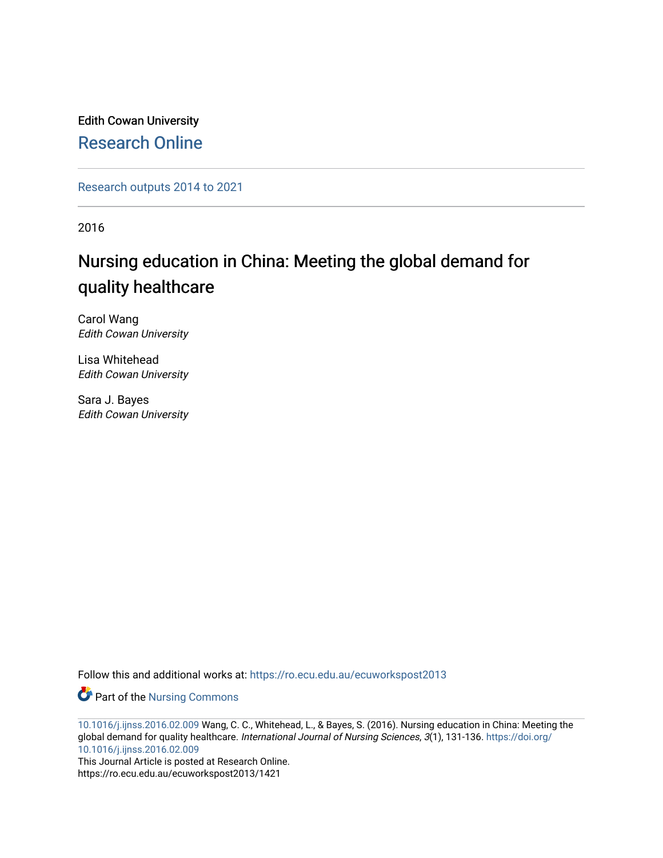Edith Cowan University [Research Online](https://ro.ecu.edu.au/) 

[Research outputs 2014 to 2021](https://ro.ecu.edu.au/ecuworkspost2013) 

2016

# Nursing education in China: Meeting the global demand for quality healthcare

Carol Wang Edith Cowan University

Lisa Whitehead Edith Cowan University

Sara J. Bayes Edith Cowan University

Follow this and additional works at: [https://ro.ecu.edu.au/ecuworkspost2013](https://ro.ecu.edu.au/ecuworkspost2013?utm_source=ro.ecu.edu.au%2Fecuworkspost2013%2F1421&utm_medium=PDF&utm_campaign=PDFCoverPages) 

Part of the [Nursing Commons](https://network.bepress.com/hgg/discipline/718?utm_source=ro.ecu.edu.au%2Fecuworkspost2013%2F1421&utm_medium=PDF&utm_campaign=PDFCoverPages) 

[10.1016/j.ijnss.2016.02.009](http://dx.doi.org/10.1016/j.ijnss.2016.02.009) Wang, C. C., Whitehead, L., & Bayes, S. (2016). Nursing education in China: Meeting the global demand for quality healthcare. International Journal of Nursing Sciences, 3(1), 131-136. [https://doi.org/](https://doi.org/10.1016/j.ijnss.2016.02.009) [10.1016/j.ijnss.2016.02.009](https://doi.org/10.1016/j.ijnss.2016.02.009) 

This Journal Article is posted at Research Online. https://ro.ecu.edu.au/ecuworkspost2013/1421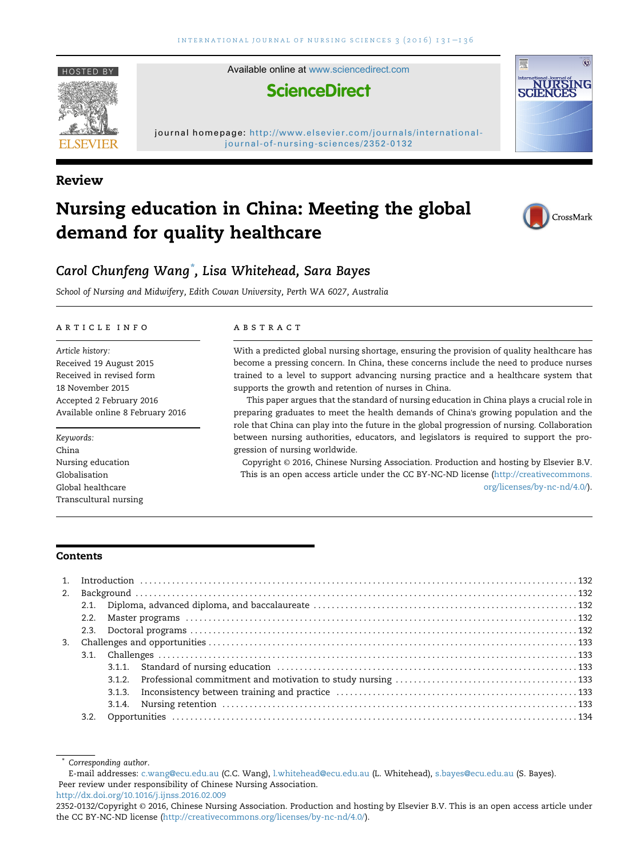

# Review

# Nursing education in China: Meeting the global demand for quality healthcare



# Carol Chunfeng Wang\* , Lisa Whitehead, Sara Bayes

School of Nursing and Midwifery, Edith Cowan University, Perth WA 6027, Australia

#### article info

Article history: Received 19 August 2015 Received in revised form 18 November 2015 Accepted 2 February 2016 Available online 8 February 2016

Keywords: China Nursing education Globalisation Global healthcare Transcultural nursing

# **ABSTRACT**

With a predicted global nursing shortage, ensuring the provision of quality healthcare has become a pressing concern. In China, these concerns include the need to produce nurses trained to a level to support advancing nursing practice and a healthcare system that supports the growth and retention of nurses in China.

This paper argues that the standard of nursing education in China plays a crucial role in preparing graduates to meet the health demands of China's growing population and the role that China can play into the future in the global progression of nursing. Collaboration between nursing authorities, educators, and legislators is required to support the progression of nursing worldwide.

Copyright © 2016, Chinese Nursing Association. Production and hosting by Elsevier B.V. This is an open access article under the CC BY-NC-ND license [\(http://creativecommons.](http://creativecommons.org/licenses/by-nc-nd/4.0/) [org/licenses/by-nc-nd/4.0/\)](http://creativecommons.org/licenses/by-nc-nd/4.0/).

### **Contents**

| 2. |  |  |  |  |
|----|--|--|--|--|
|    |  |  |  |  |
|    |  |  |  |  |
|    |  |  |  |  |
| 3. |  |  |  |  |
|    |  |  |  |  |
|    |  |  |  |  |
|    |  |  |  |  |
|    |  |  |  |  |
|    |  |  |  |  |
|    |  |  |  |  |

Corresponding author.

<http://dx.doi.org/10.1016/j.ijnss.2016.02.009>

E-mail addresses: [c.wang@ecu.edu.au](mailto:c.wang@ecu.edu.au) (C.C. Wang), [l.whitehead@ecu.edu.au](mailto:l.whitehead@ecu.edu.au) (L. Whitehead), [s.bayes@ecu.edu.au](mailto:s.bayes@ecu.edu.au) (S. Bayes). Peer review under responsibility of Chinese Nursing Association.

<sup>2352-0132/</sup>Copyright © 2016, Chinese Nursing Association. Production and hosting by Elsevier B.V. This is an open access article under the CC BY-NC-ND license ([http://creativecommons.org/licenses/by-nc-nd/4.0/\)](http://creativecommons.org/licenses/by-nc-nd/4.0/).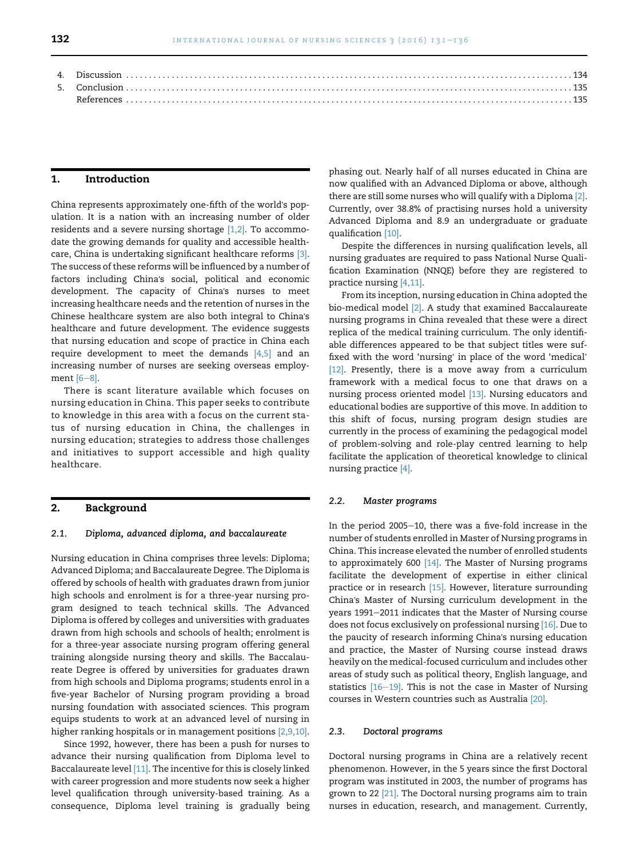# 1. Introduction

China represents approximately one-fifth of the world's population. It is a nation with an increasing number of older residents and a severe nursing shortage [\[1,2\]](#page-5-0). To accommodate the growing demands for quality and accessible healthcare, China is undertaking significant healthcare reforms [\[3\]](#page-5-0). The success of these reforms will be influenced by a number of factors including China's social, political and economic development. The capacity of China's nurses to meet increasing healthcare needs and the retention of nurses in the Chinese healthcare system are also both integral to China's healthcare and future development. The evidence suggests that nursing education and scope of practice in China each require development to meet the demands  $[4,5]$  and an increasing number of nurses are seeking overseas employment  $[6-8]$  $[6-8]$  $[6-8]$ .

There is scant literature available which focuses on nursing education in China. This paper seeks to contribute to knowledge in this area with a focus on the current status of nursing education in China, the challenges in nursing education; strategies to address those challenges and initiatives to support accessible and high quality healthcare.

# 2. Background

#### 2.1. Diploma, advanced diploma, and baccalaureate

Nursing education in China comprises three levels: Diploma; Advanced Diploma; and Baccalaureate Degree. The Diploma is offered by schools of health with graduates drawn from junior high schools and enrolment is for a three-year nursing program designed to teach technical skills. The Advanced Diploma is offered by colleges and universities with graduates drawn from high schools and schools of health; enrolment is for a three-year associate nursing program offering general training alongside nursing theory and skills. The Baccalaureate Degree is offered by universities for graduates drawn from high schools and Diploma programs; students enrol in a five-year Bachelor of Nursing program providing a broad nursing foundation with associated sciences. This program equips students to work at an advanced level of nursing in higher ranking hospitals or in management positions [\[2,9,10\]](#page-5-0).

Since 1992, however, there has been a push for nurses to advance their nursing qualification from Diploma level to Baccalaureate level [\[11\]](#page-5-0). The incentive for this is closely linked with career progression and more students now seek a higher level qualification through university-based training. As a consequence, Diploma level training is gradually being phasing out. Nearly half of all nurses educated in China are now qualified with an Advanced Diploma or above, although there are still some nurses who will qualify with a Diploma [\[2\]](#page-5-0). Currently, over 38.8% of practising nurses hold a university Advanced Diploma and 8.9 an undergraduate or graduate qualification [\[10\]](#page-5-0).

Despite the differences in nursing qualification levels, all nursing graduates are required to pass National Nurse Qualification Examination (NNQE) before they are registered to practice nursing [\[4,11\].](#page-5-0)

From its inception, nursing education in China adopted the bio-medical model [\[2\]](#page-5-0). A study that examined Baccalaureate nursing programs in China revealed that these were a direct replica of the medical training curriculum. The only identifiable differences appeared to be that subject titles were suf-fixed with the word 'nursing' in place of the word 'medical' [\[12\]](#page-5-0). Presently, there is a move away from a curriculum framework with a medical focus to one that draws on a nursing process oriented model [\[13\]](#page-5-0). Nursing educators and educational bodies are supportive of this move. In addition to this shift of focus, nursing program design studies are currently in the process of examining the pedagogical model of problem-solving and role-play centred learning to help facilitate the application of theoretical knowledge to clinical nursing practice [\[4\].](#page-5-0)

### 2.2. Master programs

In the period  $2005-10$ , there was a five-fold increase in the number of students enrolled in Master of Nursing programs in China. This increase elevated the number of enrolled students to approximately 600 [\[14\]](#page-5-0). The Master of Nursing programs facilitate the development of expertise in either clinical practice or in research [\[15\].](#page-5-0) However, literature surrounding China's Master of Nursing curriculum development in the years 1991-2011 indicates that the Master of Nursing course does not focus exclusively on professional nursing [\[16\]](#page-5-0). Due to the paucity of research informing China's nursing education and practice, the Master of Nursing course instead draws heavily on the medical-focused curriculum and includes other areas of study such as political theory, English language, and statistics  $[16-19]$  $[16-19]$ . This is not the case in Master of Nursing courses in Western countries such as Australia [\[20\].](#page-5-0)

# 2.3. Doctoral programs

Doctoral nursing programs in China are a relatively recent phenomenon. However, in the 5 years since the first Doctoral program was instituted in 2003, the number of programs has grown to 22 [\[21\].](#page-5-0) The Doctoral nursing programs aim to train nurses in education, research, and management. Currently,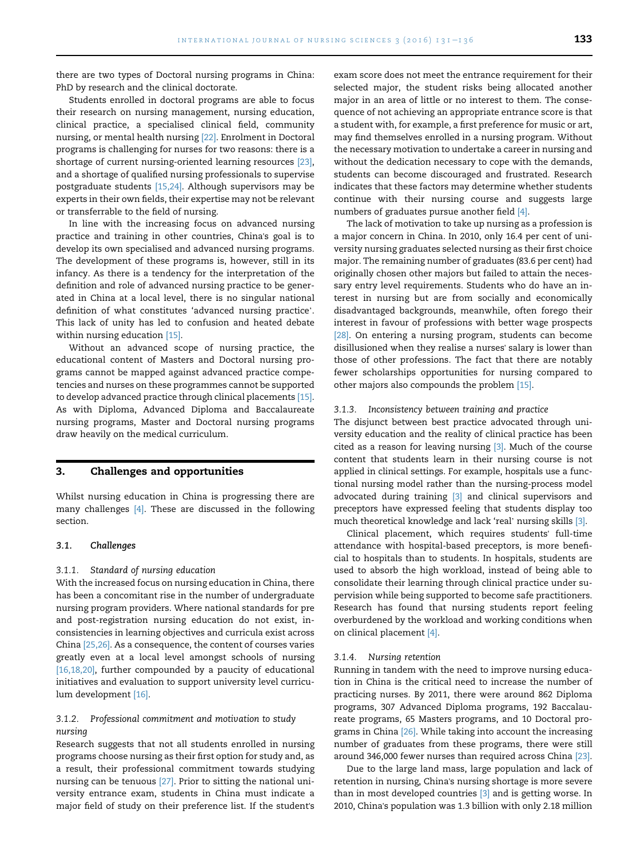there are two types of Doctoral nursing programs in China: PhD by research and the clinical doctorate.

Students enrolled in doctoral programs are able to focus their research on nursing management, nursing education, clinical practice, a specialised clinical field, community nursing, or mental health nursing [\[22\].](#page-5-0) Enrolment in Doctoral programs is challenging for nurses for two reasons: there is a shortage of current nursing-oriented learning resources [\[23\],](#page-5-0) and a shortage of qualified nursing professionals to supervise postgraduate students [\[15,24\]](#page-5-0). Although supervisors may be experts in their own fields, their expertise may not be relevant or transferrable to the field of nursing.

In line with the increasing focus on advanced nursing practice and training in other countries, China's goal is to develop its own specialised and advanced nursing programs. The development of these programs is, however, still in its infancy. As there is a tendency for the interpretation of the definition and role of advanced nursing practice to be generated in China at a local level, there is no singular national definition of what constitutes 'advanced nursing practice'. This lack of unity has led to confusion and heated debate within nursing education [\[15\]](#page-5-0).

Without an advanced scope of nursing practice, the educational content of Masters and Doctoral nursing programs cannot be mapped against advanced practice competencies and nurses on these programmes cannot be supported to develop advanced practice through clinical placements [\[15\].](#page-5-0) As with Diploma, Advanced Diploma and Baccalaureate nursing programs, Master and Doctoral nursing programs draw heavily on the medical curriculum.

# 3. Challenges and opportunities

Whilst nursing education in China is progressing there are many challenges [\[4\]](#page-5-0). These are discussed in the following section.

# 3.1. Challenges

#### 3.1.1. Standard of nursing education

With the increased focus on nursing education in China, there has been a concomitant rise in the number of undergraduate nursing program providers. Where national standards for pre and post-registration nursing education do not exist, inconsistencies in learning objectives and curricula exist across China [\[25,26\].](#page-6-0) As a consequence, the content of courses varies greatly even at a local level amongst schools of nursing [\[16,18,20\],](#page-5-0) further compounded by a paucity of educational initiatives and evaluation to support university level curriculum development [\[16\]](#page-5-0).

# 3.1.2. Professional commitment and motivation to study nursing

Research suggests that not all students enrolled in nursing programs choose nursing as their first option for study and, as a result, their professional commitment towards studying nursing can be tenuous [\[27\].](#page-6-0) Prior to sitting the national university entrance exam, students in China must indicate a major field of study on their preference list. If the student's exam score does not meet the entrance requirement for their selected major, the student risks being allocated another major in an area of little or no interest to them. The consequence of not achieving an appropriate entrance score is that a student with, for example, a first preference for music or art, may find themselves enrolled in a nursing program. Without the necessary motivation to undertake a career in nursing and without the dedication necessary to cope with the demands, students can become discouraged and frustrated. Research indicates that these factors may determine whether students continue with their nursing course and suggests large numbers of graduates pursue another field [\[4\]](#page-5-0).

The lack of motivation to take up nursing as a profession is a major concern in China. In 2010, only 16.4 per cent of university nursing graduates selected nursing as their first choice major. The remaining number of graduates (83.6 per cent) had originally chosen other majors but failed to attain the necessary entry level requirements. Students who do have an interest in nursing but are from socially and economically disadvantaged backgrounds, meanwhile, often forego their interest in favour of professions with better wage prospects [\[28\].](#page-6-0) On entering a nursing program, students can become disillusioned when they realise a nurses' salary is lower than those of other professions. The fact that there are notably fewer scholarships opportunities for nursing compared to other majors also compounds the problem [\[15\].](#page-5-0)

#### 3.1.3. Inconsistency between training and practice

The disjunct between best practice advocated through university education and the reality of clinical practice has been cited as a reason for leaving nursing  $[3]$ . Much of the course content that students learn in their nursing course is not applied in clinical settings. For example, hospitals use a functional nursing model rather than the nursing-process model advocated during training [\[3\]](#page-5-0) and clinical supervisors and preceptors have expressed feeling that students display too much theoretical knowledge and lack 'real' nursing skills [\[3\]](#page-5-0).

Clinical placement, which requires students' full-time attendance with hospital-based preceptors, is more beneficial to hospitals than to students. In hospitals, students are used to absorb the high workload, instead of being able to consolidate their learning through clinical practice under supervision while being supported to become safe practitioners. Research has found that nursing students report feeling overburdened by the workload and working conditions when on clinical placement [\[4\].](#page-5-0)

#### 3.1.4. Nursing retention

Running in tandem with the need to improve nursing education in China is the critical need to increase the number of practicing nurses. By 2011, there were around 862 Diploma programs, 307 Advanced Diploma programs, 192 Baccalaureate programs, 65 Masters programs, and 10 Doctoral programs in China [\[26\].](#page-6-0) While taking into account the increasing number of graduates from these programs, there were still around 346,000 fewer nurses than required across China [\[23\].](#page-5-0)

Due to the large land mass, large population and lack of retention in nursing, China's nursing shortage is more severe than in most developed countries [\[3\]](#page-5-0) and is getting worse. In 2010, China's population was 1.3 billion with only 2.18 million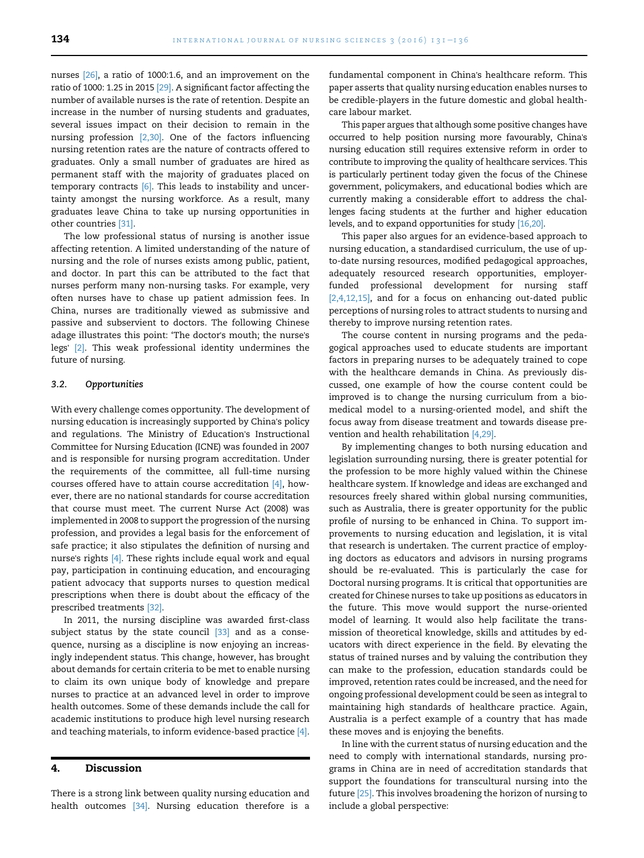nurses [\[26\]](#page-6-0), a ratio of 1000:1.6, and an improvement on the ratio of 1000: 1.25 in 2015 [\[29\].](#page-6-0) A significant factor affecting the number of available nurses is the rate of retention. Despite an increase in the number of nursing students and graduates, several issues impact on their decision to remain in the nursing profession [\[2,30\]](#page-5-0). One of the factors influencing nursing retention rates are the nature of contracts offered to graduates. Only a small number of graduates are hired as permanent staff with the majority of graduates placed on temporary contracts [\[6\]](#page-5-0). This leads to instability and uncertainty amongst the nursing workforce. As a result, many graduates leave China to take up nursing opportunities in other countries [\[31\]](#page-6-0).

The low professional status of nursing is another issue affecting retention. A limited understanding of the nature of nursing and the role of nurses exists among public, patient, and doctor. In part this can be attributed to the fact that nurses perform many non-nursing tasks. For example, very often nurses have to chase up patient admission fees. In China, nurses are traditionally viewed as submissive and passive and subservient to doctors. The following Chinese adage illustrates this point: 'The doctor's mouth; the nurse's legs' [\[2\]](#page-5-0). This weak professional identity undermines the future of nursing.

### 3.2. Opportunities

With every challenge comes opportunity. The development of nursing education is increasingly supported by China's policy and regulations. The Ministry of Education's Instructional Committee for Nursing Education (ICNE) was founded in 2007 and is responsible for nursing program accreditation. Under the requirements of the committee, all full-time nursing courses offered have to attain course accreditation [\[4\]](#page-5-0), however, there are no national standards for course accreditation that course must meet. The current Nurse Act (2008) was implemented in 2008 to support the progression of the nursing profession, and provides a legal basis for the enforcement of safe practice; it also stipulates the definition of nursing and nurse's rights [\[4\]](#page-5-0). These rights include equal work and equal pay, participation in continuing education, and encouraging patient advocacy that supports nurses to question medical prescriptions when there is doubt about the efficacy of the prescribed treatments [\[32\].](#page-6-0)

In 2011, the nursing discipline was awarded first-class subject status by the state council  $[33]$  and as a consequence, nursing as a discipline is now enjoying an increasingly independent status. This change, however, has brought about demands for certain criteria to be met to enable nursing to claim its own unique body of knowledge and prepare nurses to practice at an advanced level in order to improve health outcomes. Some of these demands include the call for academic institutions to produce high level nursing research and teaching materials, to inform evidence-based practice [\[4\]](#page-5-0).

# 4. Discussion

There is a strong link between quality nursing education and health outcomes  $[34]$ . Nursing education therefore is a fundamental component in China's healthcare reform. This paper asserts that quality nursing education enables nurses to be credible-players in the future domestic and global healthcare labour market.

This paper argues that although some positive changes have occurred to help position nursing more favourably, China's nursing education still requires extensive reform in order to contribute to improving the quality of healthcare services. This is particularly pertinent today given the focus of the Chinese government, policymakers, and educational bodies which are currently making a considerable effort to address the challenges facing students at the further and higher education levels, and to expand opportunities for study [\[16,20\].](#page-5-0)

This paper also argues for an evidence-based approach to nursing education, a standardised curriculum, the use of upto-date nursing resources, modified pedagogical approaches, adequately resourced research opportunities, employerfunded professional development for nursing staff [\[2,4,12,15\]](#page-5-0), and for a focus on enhancing out-dated public perceptions of nursing roles to attract students to nursing and thereby to improve nursing retention rates.

The course content in nursing programs and the pedagogical approaches used to educate students are important factors in preparing nurses to be adequately trained to cope with the healthcare demands in China. As previously discussed, one example of how the course content could be improved is to change the nursing curriculum from a biomedical model to a nursing-oriented model, and shift the focus away from disease treatment and towards disease prevention and health rehabilitation [\[4,29\].](#page-5-0)

By implementing changes to both nursing education and legislation surrounding nursing, there is greater potential for the profession to be more highly valued within the Chinese healthcare system. If knowledge and ideas are exchanged and resources freely shared within global nursing communities, such as Australia, there is greater opportunity for the public profile of nursing to be enhanced in China. To support improvements to nursing education and legislation, it is vital that research is undertaken. The current practice of employing doctors as educators and advisors in nursing programs should be re-evaluated. This is particularly the case for Doctoral nursing programs. It is critical that opportunities are created for Chinese nurses to take up positions as educators in the future. This move would support the nurse-oriented model of learning. It would also help facilitate the transmission of theoretical knowledge, skills and attitudes by educators with direct experience in the field. By elevating the status of trained nurses and by valuing the contribution they can make to the profession, education standards could be improved, retention rates could be increased, and the need for ongoing professional development could be seen as integral to maintaining high standards of healthcare practice. Again, Australia is a perfect example of a country that has made these moves and is enjoying the benefits.

In line with the current status of nursing education and the need to comply with international standards, nursing programs in China are in need of accreditation standards that support the foundations for transcultural nursing into the future [\[25\]](#page-6-0). This involves broadening the horizon of nursing to include a global perspective: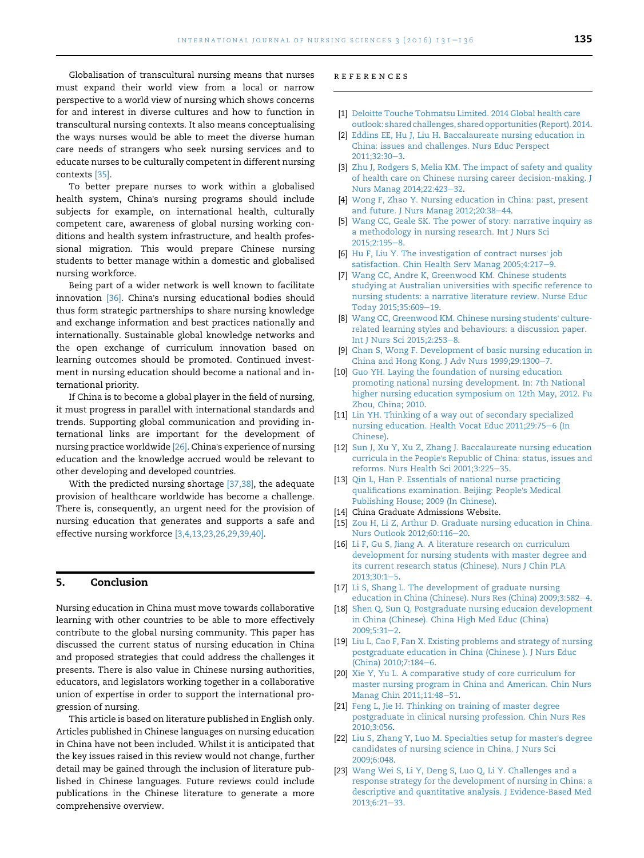<span id="page-5-0"></span>Globalisation of transcultural nursing means that nurses must expand their world view from a local or narrow perspective to a world view of nursing which shows concerns for and interest in diverse cultures and how to function in transcultural nursing contexts. It also means conceptualising the ways nurses would be able to meet the diverse human care needs of strangers who seek nursing services and to educate nurses to be culturally competent in different nursing contexts [\[35\]](#page-6-0).

To better prepare nurses to work within a globalised health system, China's nursing programs should include subjects for example, on international health, culturally competent care, awareness of global nursing working conditions and health system infrastructure, and health professional migration. This would prepare Chinese nursing students to better manage within a domestic and globalised nursing workforce.

Being part of a wider network is well known to facilitate innovation [\[36\]](#page-6-0). China's nursing educational bodies should thus form strategic partnerships to share nursing knowledge and exchange information and best practices nationally and internationally. Sustainable global knowledge networks and the open exchange of curriculum innovation based on learning outcomes should be promoted. Continued investment in nursing education should become a national and international priority.

If China is to become a global player in the field of nursing, it must progress in parallel with international standards and trends. Supporting global communication and providing international links are important for the development of nursing practice worldwide [\[26\]](#page-6-0). China's experience of nursing education and the knowledge accrued would be relevant to other developing and developed countries.

With the predicted nursing shortage [\[37,38\],](#page-6-0) the adequate provision of healthcare worldwide has become a challenge. There is, consequently, an urgent need for the provision of nursing education that generates and supports a safe and effective nursing workforce [3,4,13,23,26,29,39,40].

# 5. Conclusion

Nursing education in China must move towards collaborative learning with other countries to be able to more effectively contribute to the global nursing community. This paper has discussed the current status of nursing education in China and proposed strategies that could address the challenges it presents. There is also value in Chinese nursing authorities, educators, and legislators working together in a collaborative union of expertise in order to support the international progression of nursing.

This article is based on literature published in English only. Articles published in Chinese languages on nursing education in China have not been included. Whilst it is anticipated that the key issues raised in this review would not change, further detail may be gained through the inclusion of literature published in Chinese languages. Future reviews could include publications in the Chinese literature to generate a more comprehensive overview.

#### references

- [1] [Deloitte Touche Tohmatsu Limited. 2014 Global health care](http://refhub.elsevier.com/S2352-0132(15)30029-6/sref1) [outlook: shared challenges, shared opportunities \(Report\). 2014.](http://refhub.elsevier.com/S2352-0132(15)30029-6/sref1)
- [2] [Eddins EE, Hu J, Liu H. Baccalaureate nursing education in](http://refhub.elsevier.com/S2352-0132(15)30029-6/sref2) [China: issues and challenges. Nurs Educ Perspect](http://refhub.elsevier.com/S2352-0132(15)30029-6/sref2) [2011;32:30](http://refhub.elsevier.com/S2352-0132(15)30029-6/sref2)-[3.](http://refhub.elsevier.com/S2352-0132(15)30029-6/sref2)
- [3] [Zhu J, Rodgers S, Melia KM. The impact of safety and quality](http://refhub.elsevier.com/S2352-0132(15)30029-6/sref3) [of health care on Chinese nursing career decision-making. J](http://refhub.elsevier.com/S2352-0132(15)30029-6/sref3) [Nurs Manag 2014;22:423](http://refhub.elsevier.com/S2352-0132(15)30029-6/sref3)-[32](http://refhub.elsevier.com/S2352-0132(15)30029-6/sref3).
- [4] [Wong F, Zhao Y. Nursing education in China: past, present](http://refhub.elsevier.com/S2352-0132(15)30029-6/sref4) and future. J Nurs Manag  $2012;20:38-44$ .
- [5] [Wang CC, Geale SK. The power of story: narrative inquiry as](http://refhub.elsevier.com/S2352-0132(15)30029-6/sref5) [a methodology in nursing research. Int J Nurs Sci](http://refhub.elsevier.com/S2352-0132(15)30029-6/sref5) 2015:2:195-[8.](http://refhub.elsevier.com/S2352-0132(15)30029-6/sref5)
- [6] [Hu F, Liu Y. The investigation of contract nurses](http://refhub.elsevier.com/S2352-0132(15)30029-6/sref6)' job [satisfaction. Chin Health Serv Manag 2005;4:217](http://refhub.elsevier.com/S2352-0132(15)30029-6/sref6)-[9](http://refhub.elsevier.com/S2352-0132(15)30029-6/sref6).
- [7] [Wang CC, Andre K, Greenwood KM. Chinese students](http://refhub.elsevier.com/S2352-0132(15)30029-6/sref7) [studying at Australian universities with specific reference to](http://refhub.elsevier.com/S2352-0132(15)30029-6/sref7) [nursing students: a narrative literature review. Nurse Educ](http://refhub.elsevier.com/S2352-0132(15)30029-6/sref7) [Today 2015;35:609](http://refhub.elsevier.com/S2352-0132(15)30029-6/sref7)-[19](http://refhub.elsevier.com/S2352-0132(15)30029-6/sref7).
- [8] [Wang CC, Greenwood KM. Chinese nursing students](http://refhub.elsevier.com/S2352-0132(15)30029-6/sref8)' culture[related learning styles and behaviours: a discussion paper.](http://refhub.elsevier.com/S2352-0132(15)30029-6/sref8) [Int J Nurs Sci 2015;2:253](http://refhub.elsevier.com/S2352-0132(15)30029-6/sref8)-[8.](http://refhub.elsevier.com/S2352-0132(15)30029-6/sref8)
- [9] [Chan S, Wong F. Development of basic nursing education in](http://refhub.elsevier.com/S2352-0132(15)30029-6/sref9) [China and Hong Kong. J Adv Nurs 1999;29:1300](http://refhub.elsevier.com/S2352-0132(15)30029-6/sref9)-[7.](http://refhub.elsevier.com/S2352-0132(15)30029-6/sref9)
- [10] [Guo YH. Laying the foundation of nursing education](http://refhub.elsevier.com/S2352-0132(15)30029-6/sref10) [promoting national nursing development. In: 7th National](http://refhub.elsevier.com/S2352-0132(15)30029-6/sref10) [higher nursing education symposium on 12th May, 2012. Fu](http://refhub.elsevier.com/S2352-0132(15)30029-6/sref10) [Zhou, China; 2010](http://refhub.elsevier.com/S2352-0132(15)30029-6/sref10).
- [11] [Lin YH. Thinking of a way out of secondary specialized](http://refhub.elsevier.com/S2352-0132(15)30029-6/sref11) [nursing education. Health Vocat Educ 2011;29:75](http://refhub.elsevier.com/S2352-0132(15)30029-6/sref11)-[6 \(In](http://refhub.elsevier.com/S2352-0132(15)30029-6/sref11) [Chinese\).](http://refhub.elsevier.com/S2352-0132(15)30029-6/sref11)
- [12] [Sun J, Xu Y, Xu Z, Zhang J. Baccalaureate nursing education](http://refhub.elsevier.com/S2352-0132(15)30029-6/sref12) curricula in the People'[s Republic of China: status, issues and](http://refhub.elsevier.com/S2352-0132(15)30029-6/sref12) [reforms. Nurs Health Sci 2001;3:225](http://refhub.elsevier.com/S2352-0132(15)30029-6/sref12)-[35.](http://refhub.elsevier.com/S2352-0132(15)30029-6/sref12)
- [13] [Qin L, Han P. Essentials of national nurse practicing](http://refhub.elsevier.com/S2352-0132(15)30029-6/sref13) [qualifications examination. Beijing: People](http://refhub.elsevier.com/S2352-0132(15)30029-6/sref13)'s Medical [Publishing House; 2009 \(In Chinese\)](http://refhub.elsevier.com/S2352-0132(15)30029-6/sref13).
- [14] China Graduate Admissions Website.
- [15] [Zou H, Li Z, Arthur D. Graduate nursing education in China.](http://refhub.elsevier.com/S2352-0132(15)30029-6/sref15) [Nurs Outlook 2012;60:116](http://refhub.elsevier.com/S2352-0132(15)30029-6/sref15)-[20.](http://refhub.elsevier.com/S2352-0132(15)30029-6/sref15)
- [16] [Li F, Gu S, Jiang A. A literature research on curriculum](http://refhub.elsevier.com/S2352-0132(15)30029-6/sref16) [development for nursing students with master degree and](http://refhub.elsevier.com/S2352-0132(15)30029-6/sref16) [its current research status \(Chinese\). Nurs J Chin PLA](http://refhub.elsevier.com/S2352-0132(15)30029-6/sref16)  $2013;30:1-5.$  $2013;30:1-5.$  $2013;30:1-5.$
- [17] [Li S, Shang L. The development of graduate nursing](http://refhub.elsevier.com/S2352-0132(15)30029-6/sref17) [education in China \(Chinese\). Nurs Res \(China\) 2009;3:582](http://refhub.elsevier.com/S2352-0132(15)30029-6/sref17)-[4.](http://refhub.elsevier.com/S2352-0132(15)30029-6/sref17)
- [18] [Shen Q, Sun Q. Postgraduate nursing educaion development](http://refhub.elsevier.com/S2352-0132(15)30029-6/sref18) [in China \(Chinese\). China High Med Educ \(China\)](http://refhub.elsevier.com/S2352-0132(15)30029-6/sref18)  $2009:5:31-2.$  $2009:5:31-2.$
- [19] [Liu L, Cao F, Fan X. Existing problems and strategy of nursing](http://refhub.elsevier.com/S2352-0132(15)30029-6/sref19) [postgraduate education in China \(Chinese \). J Nurs Educ](http://refhub.elsevier.com/S2352-0132(15)30029-6/sref19) [\(China\) 2010;7:184](http://refhub.elsevier.com/S2352-0132(15)30029-6/sref19)-[6.](http://refhub.elsevier.com/S2352-0132(15)30029-6/sref19)
- [20] [Xie Y, Yu L. A comparative study of core curriculum for](http://refhub.elsevier.com/S2352-0132(15)30029-6/sref20) [master nursing program in China and American. Chin Nurs](http://refhub.elsevier.com/S2352-0132(15)30029-6/sref20) [Manag Chin 2011;11:48](http://refhub.elsevier.com/S2352-0132(15)30029-6/sref20)-[51](http://refhub.elsevier.com/S2352-0132(15)30029-6/sref20).
- [21] [Feng L, Jie H. Thinking on training of master degree](http://refhub.elsevier.com/S2352-0132(15)30029-6/sref21) [postgraduate in clinical nursing profession. Chin Nurs Res](http://refhub.elsevier.com/S2352-0132(15)30029-6/sref21) [2010;3:056](http://refhub.elsevier.com/S2352-0132(15)30029-6/sref21).
- [22] [Liu S, Zhang Y, Luo M. Specialties setup for master](http://refhub.elsevier.com/S2352-0132(15)30029-6/sref22)'s degree [candidates of nursing science in China. J Nurs Sci](http://refhub.elsevier.com/S2352-0132(15)30029-6/sref22) [2009;6:048](http://refhub.elsevier.com/S2352-0132(15)30029-6/sref22).
- [23] [Wang Wei S, Li Y, Deng S, Luo Q, Li Y. Challenges and a](http://refhub.elsevier.com/S2352-0132(15)30029-6/sref23) [response strategy for the development of nursing in China: a](http://refhub.elsevier.com/S2352-0132(15)30029-6/sref23) [descriptive and quantitative analysis. J Evidence-Based Med](http://refhub.elsevier.com/S2352-0132(15)30029-6/sref23)  $2013;6:21-33.$  $2013;6:21-33.$  $2013;6:21-33.$